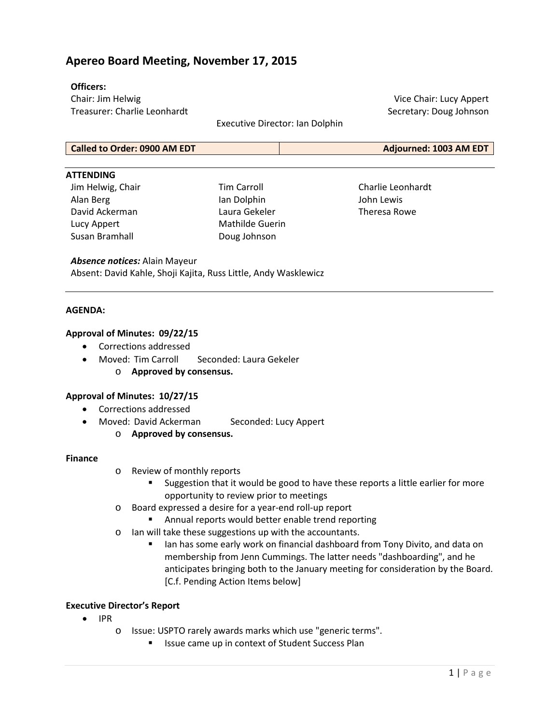# **Apereo Board Meeting, November 17, 2015**

### **Officers:**

Chair: Jim Helwig Treasurer: Charlie Leonhardt

Executive Director: Ian Dolphin

Vice Chair: Lucy Appert Secretary: Doug Johnson

## **Called to Order: 0900 AM EDT Adjourned: 1003 AM EDT**

#### **ATTENDING**

Jim Helwig, Chair Alan Berg David Ackerman Lucy Appert Susan Bramhall

Tim Carroll Ian Dolphin Laura Gekeler Mathilde Guerin Doug Johnson

Charlie Leonhardt John Lewis Theresa Rowe

#### *Absence notices:* Alain Mayeur

Absent: David Kahle, Shoji Kajita, Russ Little, Andy Wasklewicz

#### **AGENDA:**

#### **Approval of Minutes: 09/22/15**

- Corrections addressed
- Moved: Tim Carroll Seconded: Laura Gekeler
	- o **Approved by consensus.**

## **Approval of Minutes: 10/27/15**

- Corrections addressed
- Moved: David Ackerman Seconded: Lucy Appert
	- o **Approved by consensus.**

#### **Finance**

- o Review of monthly reports
	- Suggestion that it would be good to have these reports a little earlier for more opportunity to review prior to meetings
- o Board expressed a desire for a year-end roll-up report
	- **Annual reports would better enable trend reporting**
- o Ian will take these suggestions up with the accountants.
	- Ian has some early work on financial dashboard from Tony Divito, and data on membership from Jenn Cummings. The latter needs "dashboarding", and he anticipates bringing both to the January meeting for consideration by the Board. [C.f. Pending Action Items below]

#### **Executive Director's Report**

- IPR
	- o Issue: USPTO rarely awards marks which use "generic terms".
		- **ISSUE CAME UP IN CONTEXT OF Student Success Plan**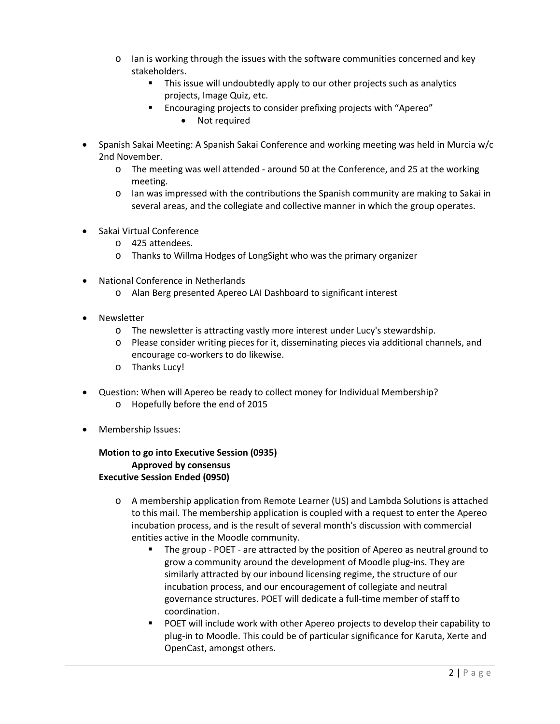- $\circ$  Ian is working through the issues with the software communities concerned and key stakeholders.
	- This issue will undoubtedly apply to our other projects such as analytics projects, Image Quiz, etc.
	- Encouraging projects to consider prefixing projects with "Apereo"
		- Not required
- Spanish Sakai Meeting: A Spanish Sakai Conference and working meeting was held in Murcia w/c 2nd November.
	- o The meeting was well attended around 50 at the Conference, and 25 at the working meeting.
	- $\circ$  Ian was impressed with the contributions the Spanish community are making to Sakai in several areas, and the collegiate and collective manner in which the group operates.
- Sakai Virtual Conference
	- o 425 attendees.
	- o Thanks to Willma Hodges of LongSight who was the primary organizer
- National Conference in Netherlands
	- o Alan Berg presented Apereo LAI Dashboard to significant interest
- Newsletter
	- o The newsletter is attracting vastly more interest under Lucy's stewardship.
	- o Please consider writing pieces for it, disseminating pieces via additional channels, and encourage co-workers to do likewise.
	- o Thanks Lucy!
- Question: When will Apereo be ready to collect money for Individual Membership?
	- o Hopefully before the end of 2015
- Membership Issues:

**Motion to go into Executive Session (0935) Approved by consensus Executive Session Ended (0950)**

- o A membership application from Remote Learner (US) and Lambda Solutions is attached to this mail. The membership application is coupled with a request to enter the Apereo incubation process, and is the result of several month's discussion with commercial entities active in the Moodle community.
	- The group POET are attracted by the position of Apereo as neutral ground to grow a community around the development of Moodle plug-ins. They are similarly attracted by our inbound licensing regime, the structure of our incubation process, and our encouragement of collegiate and neutral governance structures. POET will dedicate a full-time member of staff to coordination.
	- POET will include work with other Apereo projects to develop their capability to plug-in to Moodle. This could be of particular significance for Karuta, Xerte and OpenCast, amongst others.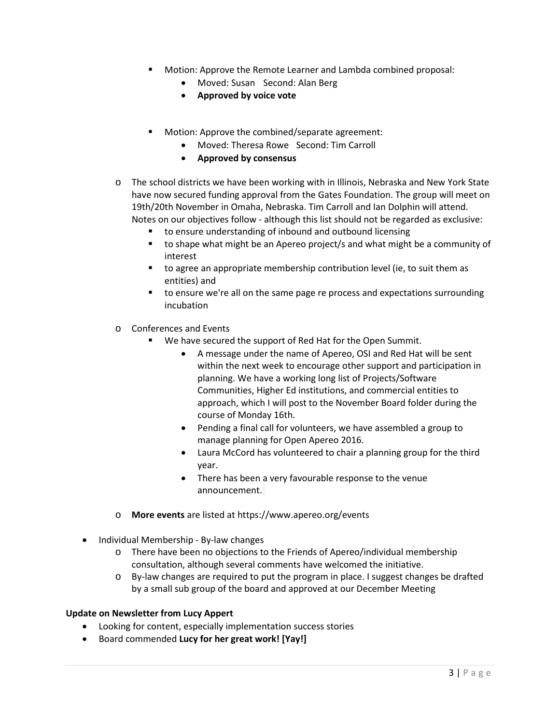- Motion: Approve the Remote Learner and Lambda combined proposal:
	- Moved: Susan Second: Alan Berg
	- **Approved by voice vote**
- Motion: Approve the combined/separate agreement:
	- Moved: Theresa Rowe Second: Tim Carroll
	- **Approved by consensus**
- o The school districts we have been working with in Illinois, Nebraska and New York State have now secured funding approval from the Gates Foundation. The group will meet on 19th/20th November in Omaha, Nebraska. Tim Carroll and Ian Dolphin will attend. Notes on our objectives follow - although this list should not be regarded as exclusive:
	- to ensure understanding of inbound and outbound licensing
	- to shape what might be an Apereo project/s and what might be a community of interest
	- to agree an appropriate membership contribution level (ie, to suit them as entities) and
	- to ensure we're all on the same page re process and expectations surrounding incubation
- o Conferences and Events
	- We have secured the support of Red Hat for the Open Summit.
		- A message under the name of Apereo, OSI and Red Hat will be sent within the next week to encourage other support and participation in planning. We have a working long list of Projects/Software Communities, Higher Ed institutions, and commercial entities to approach, which I will post to the November Board folder during the course of Monday 16th.
		- Pending a final call for volunteers, we have assembled a group to manage planning for Open Apereo 2016.
		- Laura McCord has volunteered to chair a planning group for the third year.
		- There has been a very favourable response to the venue announcement.
- o **More events** are listed at <https://www.apereo.org/events>
- Individual Membership By-law changes
	- o There have been no objections to the Friends of Apereo/individual membership consultation, although several comments have welcomed the initiative.
	- o By-law changes are required to put the program in place. I suggest changes be drafted by a small sub group of the board and approved at our December Meeting

## **Update on Newsletter from Lucy Appert**

- Looking for content, especially implementation success stories
- Board commended **Lucy for her great work! [Yay!]**